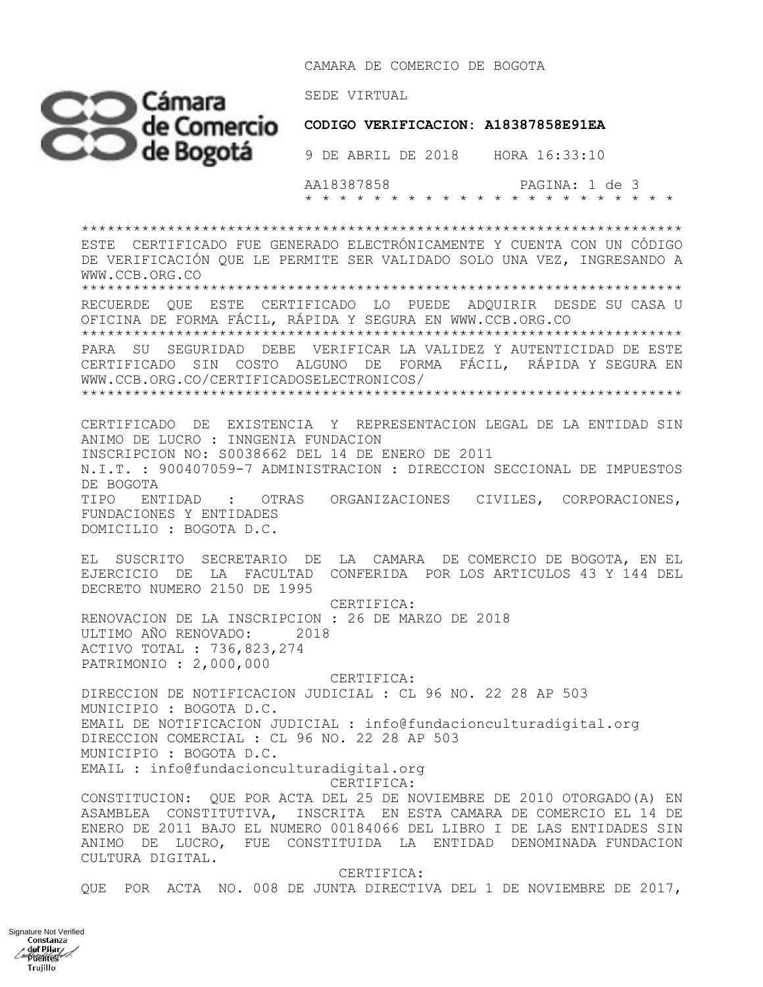CAMARA DE COMERCIO DE BOGOTA



 **CODIGO VERIFICACION: A18387858E91EA**

 AA18387858 PAGINA: 1 de 3 \* \* \* \* \* \* \* \* \* \* \* \* \* \* \* \* \* \* \* \* \* \*

\*\*\*\*\*\*\*\*\*\*\*\*\*\*\*\*\*\*\*\*\*\*\*\*\*\*\*\*\*\*\*\*\*\*\*\*\*\*\*\*\*\*\*\*\*\*\*\*\*\*\*\*\*\*\*\*\*\*\*\*\*\*\*\*\*\*\*\*\*\* ESTE CERTIFICADO FUE GENERADO ELECTRÓNICAMENTE Y CUENTA CON UN CÓDIGO DE VERIFICACIÓN QUE LE PERMITE SER VALIDADO SOLO UNA VEZ, INGRESANDO A WWW.CCB.ORG.CO \*\*\*\*\*\*\*\*\*\*\*\*\*\*\*\*\*\*\*\*\*\*\*\*\*\*\*\*\*\*\*\*\*\*\*\*\*\*\*\*\*\*\*\*\*\*\*\*\*\*\*\*\*\*\*\*\*\*\*\*\*\*\*\*\*\*\*\*\*\* RECUERDE QUE ESTE CERTIFICADO LO PUEDE ADQUIRIR DESDE SU CASA U OFICINA DE FORMA FÁCIL, RÁPIDA Y SEGURA EN WWW.CCB.ORG.CO \*\*\*\*\*\*\*\*\*\*\*\*\*\*\*\*\*\*\*\*\*\*\*\*\*\*\*\*\*\*\*\*\*\*\*\*\*\*\*\*\*\*\*\*\*\*\*\*\*\*\*\*\*\*\*\*\*\*\*\*\*\*\*\*\*\*\*\*\*\* PARA SU SEGURIDAD DEBE VERIFICAR LA VALIDEZ Y AUTENTICIDAD DE ESTE CERTIFICADO SIN COSTO ALGUNO DE FORMA FÁCIL, RÁPIDA Y SEGURA EN WWW.CCB.ORG.CO/CERTIFICADOSELECTRONICOS/ \*\*\*\*\*\*\*\*\*\*\*\*\*\*\*\*\*\*\*\*\*\*\*\*\*\*\*\*\*\*\*\*\*\*\*\*\*\*\*\*\*\*\*\*\*\*\*\*\*\*\*\*\*\*\*\*\*\*\*\*\*\*\*\*\*\*\*\*\*\* CERTIFICADO DE EXISTENCIA Y REPRESENTACION LEGAL DE LA ENTIDAD SIN ANIMO DE LUCRO : INNGENIA FUNDACION INSCRIPCION NO: S0038662 DEL 14 DE ENERO DE 2011 N.I.T. : 900407059-7 ADMINISTRACION : DIRECCION SECCIONAL DE IMPUESTOS DE BOGOTA TIPO ENTIDAD : OTRAS ORGANIZACIONES CIVILES, CORPORACIONES, FUNDACIONES Y ENTIDADES DOMICILIO : BOGOTA D.C. EL SUSCRITO SECRETARIO DE LA CAMARA DE COMERCIO DE BOGOTA, EN EL EJERCICIO DE LA FACULTAD CONFERIDA POR LOS ARTICULOS 43 Y 144 DEL DECRETO NUMERO 2150 DE 1995 CERTIFICA: RENOVACION DE LA INSCRIPCION : 26 DE MARZO DE 2018 ULTIMO AÑO RENOVADO: 2018 ACTIVO TOTAL : 736,823,274 PATRIMONIO : 2,000,000 CERTIFICA: DIRECCION DE NOTIFICACION JUDICIAL : CL 96 NO. 22 28 AP 503 MUNICIPIO : BOGOTA D.C. EMAIL DE NOTIFICACION JUDICIAL : info@fundacionculturadigital.org DIRECCION COMERCIAL : CL 96 NO. 22 28 AP 503 MUNICIPIO : BOGOTA D.C. EMAIL : info@fundacionculturadigital.org CERTIFICA: CONSTITUCION: QUE POR ACTA DEL 25 DE NOVIEMBRE DE 2010 OTORGADO(A) EN ASAMBLEA CONSTITUTIVA, INSCRITA EN ESTA CAMARA DE COMERCIO EL 14 DE ENERO DE 2011 BAJO EL NUMERO 00184066 DEL LIBRO I DE LAS ENTIDADES SIN ANIMO DE LUCRO, FUE CONSTITUIDA LA ENTIDAD DENOMINADA FUNDACION CULTURA DIGITAL. CERTIFICA:

QUE POR ACTA NO. 008 DE JUNTA DIRECTIVA DEL 1 DE NOVIEMBRE DE 2017,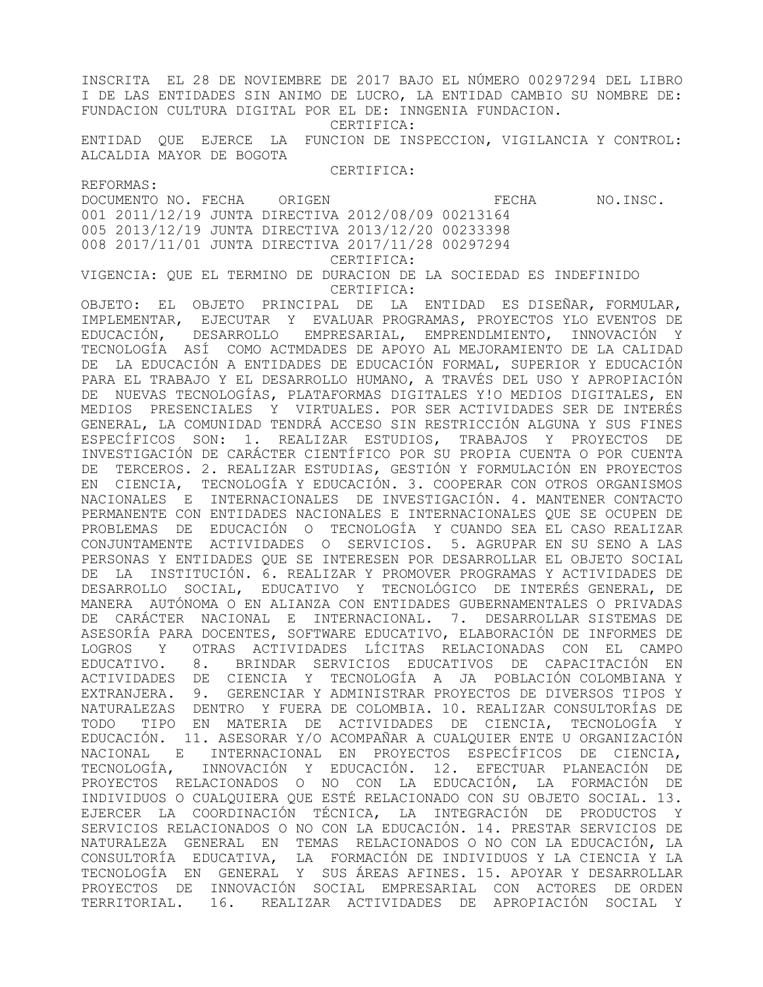INSCRITA EL 28 DE NOVIEMBRE DE 2017 BAJO EL NÚMERO 00297294 DEL LIBRO I DE LAS ENTIDADES SIN ANIMO DE LUCRO, LA ENTIDAD CAMBIO SU NOMBRE DE: FUNDACION CULTURA DIGITAL POR EL DE: INNGENIA FUNDACION. CERTIFICA: ENTIDAD QUE EJERCE LA FUNCION DE INSPECCION, VIGILANCIA Y CONTROL: ALCALDIA MAYOR DE BOGOTA CERTIFICA: REFORMAS: DOCUMENTO NO. FECHA ORIGEN **EXAMPLE ORIGEN** FECHA NO.INSC. 001 2011/12/19 JUNTA DIRECTIVA 2012/08/09 00213164 005 2013/12/19 JUNTA DIRECTIVA 2013/12/20 00233398 008 2017/11/01 JUNTA DIRECTIVA 2017/11/28 00297294 CERTIFICA: VIGENCIA: QUE EL TERMINO DE DURACION DE LA SOCIEDAD ES INDEFINIDO CERTIFICA: OBJETO: EL OBJETO PRINCIPAL DE LA ENTIDAD ES DISEÑAR, FORMULAR, IMPLEMENTAR, EJECUTAR Y EVALUAR PROGRAMAS, PROYECTOS YLO EVENTOS DE EDUCACIÓN, DESARROLLO EMPRESARIAL, EMPRENDLMIENTO, INNOVACIÓN Y TECNOLOGÍA ASÍ COMO ACTMDADES DE APOYO AL MEJORAMIENTO DE LA CALIDAD DE LA EDUCACIÓN A ENTIDADES DE EDUCACIÓN FORMAL, SUPERIOR Y EDUCACIÓN PARA EL TRABAJO Y EL DESARROLLO HUMANO, A TRAVÉS DEL USO Y APROPIACIÓN DE NUEVAS TECNOLOGÍAS, PLATAFORMAS DIGITALES Y!O MEDIOS DIGITALES, EN MEDIOS PRESENCIALES Y VIRTUALES. POR SER ACTIVIDADES SER DE INTERÉS GENERAL, LA COMUNIDAD TENDRÁ ACCESO SIN RESTRICCIÓN ALGUNA Y SUS FINES ESPECÍFICOS SON: 1. REALIZAR ESTUDIOS, TRABAJOS Y PROYECTOS DE INVESTIGACIÓN DE CARÁCTER CIENTÍFICO POR SU PROPIA CUENTA O POR CUENTA DE TERCEROS. 2. REALIZAR ESTUDIAS, GESTIÓN Y FORMULACIÓN EN PROYECTOS EN CIENCIA, TECNOLOGÍA Y EDUCACIÓN. 3. COOPERAR CON OTROS ORGANISMOS NACIONALES E INTERNACIONALES DE INVESTIGACIÓN. 4. MANTENER CONTACTO PERMANENTE CON ENTIDADES NACIONALES E INTERNACIONALES QUE SE OCUPEN DE PROBLEMAS DE EDUCACIÓN O TECNOLOGÍA Y CUANDO SEA EL CASO REALIZAR CONJUNTAMENTE ACTIVIDADES O SERVICIOS. 5. AGRUPAR EN SU SENO A LAS PERSONAS Y ENTIDADES QUE SE INTERESEN POR DESARROLLAR EL OBJETO SOCIAL DE LA INSTITUCIÓN. 6. REALIZAR Y PROMOVER PROGRAMAS Y ACTIVIDADES DE DESARROLLO SOCIAL, EDUCATIVO Y TECNOLÓGICO DE INTERÉS GENERAL, DE MANERA AUTÓNOMA O EN ALIANZA CON ENTIDADES GUBERNAMENTALES O PRIVADAS DE CARÁCTER NACIONAL E INTERNACIONAL. 7. DESARROLLAR SISTEMAS DE ASESORÍA PARA DOCENTES, SOFTWARE EDUCATIVO, ELABORACIÓN DE INFORMES DE LOGROS Y OTRAS ACTIVIDADES LÍCITAS RELACIONADAS CON EL CAMPO EDUCATIVO. 8. BRINDAR SERVICIOS EDUCATIVOS DE CAPACITACIÓN EN ACTIVIDADES DE CIENCIA Y TECNOLOGÍA A JA POBLACIÓN COLOMBIANA Y EXTRANJERA. 9. GERENCIAR Y ADMINISTRAR PROYECTOS DE DIVERSOS TIPOS Y NATURALEZAS DENTRO Y FUERA DE COLOMBIA. 10. REALIZAR CONSULTORÍAS DE TODO TIPO EN MATERIA DE ACTIVIDADES DE CIENCIA, TECNOLOGÍA Y EDUCACIÓN. 11. ASESORAR Y/O ACOMPAÑAR A CUALQUIER ENTE U ORGANIZACIÓN NACIONAL E INTERNACIONAL EN PROYECTOS ESPECÍFICOS DE CIENCIA, TECNOLOGÍA, INNOVACIÓN Y EDUCACIÓN. 12. EFECTUAR PLANEACIÓN DE PROYECTOS RELACIONADOS O NO CON LA EDUCACIÓN, LA FORMACIÓN DE INDIVIDUOS O CUALQUIERA QUE ESTÉ RELACIONADO CON SU OBJETO SOCIAL. 13. EJERCER LA COORDINACIÓN TÉCNICA, LA INTEGRACIÓN DE PRODUCTOS Y SERVICIOS RELACIONADOS O NO CON LA EDUCACIÓN. 14. PRESTAR SERVICIOS DE NATURALEZA GENERAL EN TEMAS RELACIONADOS O NO CON LA EDUCACIÓN, LA CONSULTORÍA EDUCATIVA, LA FORMACIÓN DE INDIVIDUOS Y LA CIENCIA Y LA TECNOLOGÍA EN GENERAL Y SUS ÁREAS AFINES. 15. APOYAR Y DESARROLLAR PROYECTOS DE INNOVACIÓN SOCIAL EMPRESARIAL CON ACTORES DE ORDEN TERRITORIAL. 16. REALIZAR ACTIVIDADES DE APROPIACIÓN SOCIAL Y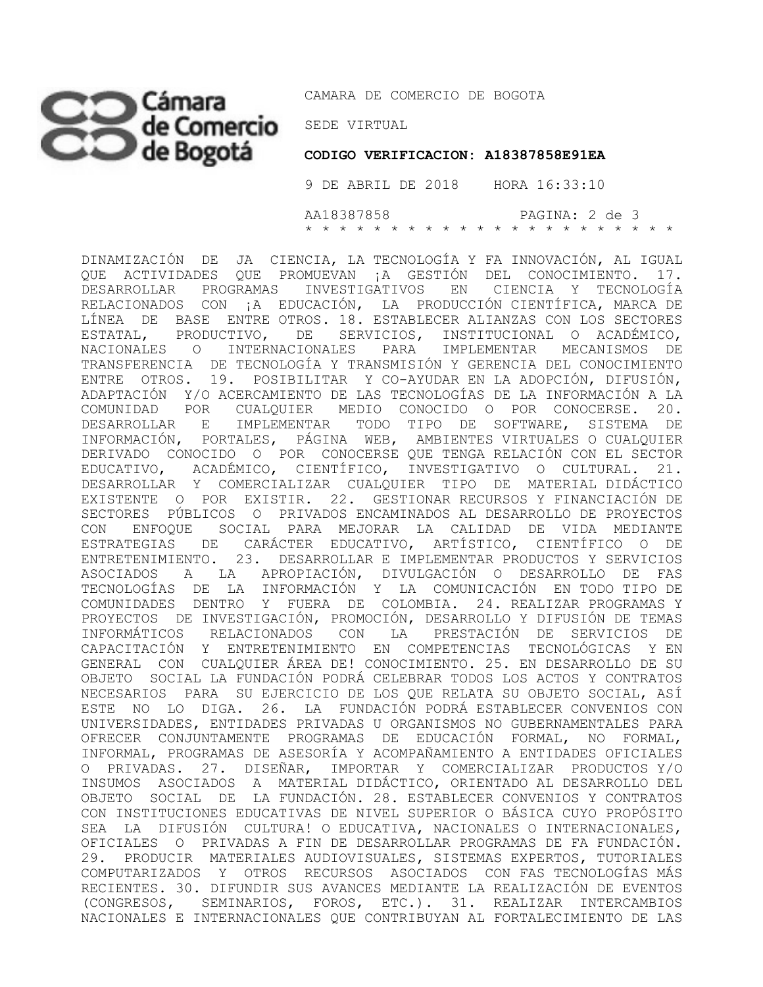## CO Cámara CAMARA DE COI

CAMARA DE COMERCIO DE BOGOTA

 **CODIGO VERIFICACION: A18387858E91EA**

 9 DE ABRIL DE 2018 HORA 16:33:10 AA18387858 PAGINA: 2 de 3 \* \* \* \* \* \* \* \* \* \* \* \* \* \* \* \* \* \* \* \* \* \*

DINAMIZACIÓN DE JA CIENCIA, LA TECNOLOGÍA Y FA INNOVACIÓN, AL IGUAL QUE ACTIVIDADES QUE PROMUEVAN ¡A GESTIÓN DEL CONOCIMIENTO. 17. DESARROLLAR PROGRAMAS INVESTIGATIVOS EN CIENCIA Y TECNOLOGÍA RELACIONADOS CON ¡A EDUCACIÓN, LA PRODUCCIÓN CIENTÍFICA, MARCA DE LÍNEA DE BASE ENTRE OTROS. 18. ESTABLECER ALIANZAS CON LOS SECTORES ESTATAL, PRODUCTIVO, DE SERVICIOS, INSTITUCIONAL O ACADÉMICO, NACIONALES O INTERNACIONALES PARA IMPLEMENTAR MECANISMOS DE TRANSFERENCIA DE TECNOLOGÍA Y TRANSMISIÓN Y GERENCIA DEL CONOCIMIENTO ENTRE OTROS. 19. POSIBILITAR Y CO-AYUDAR EN LA ADOPCIÓN, DIFUSIÓN, ADAPTACIÓN Y/O ACERCAMIENTO DE LAS TECNOLOGÍAS DE LA INFORMACIÓN A LA COMUNIDAD POR CUALQUIER MEDIO CONOCIDO O POR CONOCERSE. 20. DESARROLLAR E IMPLEMENTAR TODO TIPO DE SOFTWARE, SISTEMA DE INFORMACIÓN, PORTALES, PÁGINA WEB, AMBIENTES VIRTUALES O CUALQUIER DERIVADO CONOCIDO O POR CONOCERSE QUE TENGA RELACIÓN CON EL SECTOR EDUCATIVO, ACADÉMICO, CIENTÍFICO, INVESTIGATIVO O CULTURAL. 21. DESARROLLAR Y COMERCIALIZAR CUALQUIER TIPO DE MATERIAL DIDÁCTICO EXISTENTE O POR EXISTIR. 22. GESTIONAR RECURSOS Y FINANCIACIÓN DE SECTORES PÚBLICOS O PRIVADOS ENCAMINADOS AL DESARROLLO DE PROYECTOS CON ENFOQUE SOCIAL PARA MEJORAR LA CALIDAD DE VIDA MEDIANTE ESTRATEGIAS DE CARÁCTER EDUCATIVO, ARTÍSTICO, CIENTÍFICO O DE ENTRETENIMIENTO. 23. DESARROLLAR E IMPLEMENTAR PRODUCTOS Y SERVICIOS ASOCIADOS A LA APROPIACIÓN, DIVULGACIÓN O DESARROLLO DE FAS TECNOLOGÍAS DE LA INFORMACIÓN Y LA COMUNICACIÓN EN TODO TIPO DE COMUNIDADES DENTRO Y FUERA DE COLOMBIA. 24. REALIZAR PROGRAMAS Y PROYECTOS DE INVESTIGACIÓN, PROMOCIÓN, DESARROLLO Y DIFUSIÓN DE TEMAS INFORMÁTICOS RELACIONADOS CON LA PRESTACIÓN DE SERVICIOS DE CAPACITACIÓN Y ENTRETENIMIENTO EN COMPETENCIAS TECNOLÓGICAS Y EN GENERAL CON CUALQUIER ÁREA DE! CONOCIMIENTO. 25. EN DESARROLLO DE SU OBJETO SOCIAL LA FUNDACIÓN PODRÁ CELEBRAR TODOS LOS ACTOS Y CONTRATOS NECESARIOS PARA SU EJERCICIO DE LOS QUE RELATA SU OBJETO SOCIAL, ASÍ ESTE NO LO DIGA. 26. LA FUNDACIÓN PODRÁ ESTABLECER CONVENIOS CON UNIVERSIDADES, ENTIDADES PRIVADAS U ORGANISMOS NO GUBERNAMENTALES PARA OFRECER CONJUNTAMENTE PROGRAMAS DE EDUCACIÓN FORMAL, NO FORMAL, INFORMAL, PROGRAMAS DE ASESORÍA Y ACOMPAÑAMIENTO A ENTIDADES OFICIALES O PRIVADAS. 27. DISEÑAR, IMPORTAR Y COMERCIALIZAR PRODUCTOS Y/O INSUMOS ASOCIADOS A MATERIAL DIDÁCTICO, ORIENTADO AL DESARROLLO DEL OBJETO SOCIAL DE LA FUNDACIÓN. 28. ESTABLECER CONVENIOS Y CONTRATOS CON INSTITUCIONES EDUCATIVAS DE NIVEL SUPERIOR O BÁSICA CUYO PROPÓSITO SEA LA DIFUSIÓN CULTURA! O EDUCATIVA, NACIONALES O INTERNACIONALES, OFICIALES O PRIVADAS A FIN DE DESARROLLAR PROGRAMAS DE FA FUNDACIÓN. 29. PRODUCIR MATERIALES AUDIOVISUALES, SISTEMAS EXPERTOS, TUTORIALES COMPUTARIZADOS Y OTROS RECURSOS ASOCIADOS CON FAS TECNOLOGÍAS MÁS RECIENTES. 30. DIFUNDIR SUS AVANCES MEDIANTE LA REALIZACIÓN DE EVENTOS (CONGRESOS, SEMINARIOS, FOROS, ETC.). 31. REALIZAR INTERCAMBIOS NACIONALES E INTERNACIONALES QUE CONTRIBUYAN AL FORTALECIMIENTO DE LAS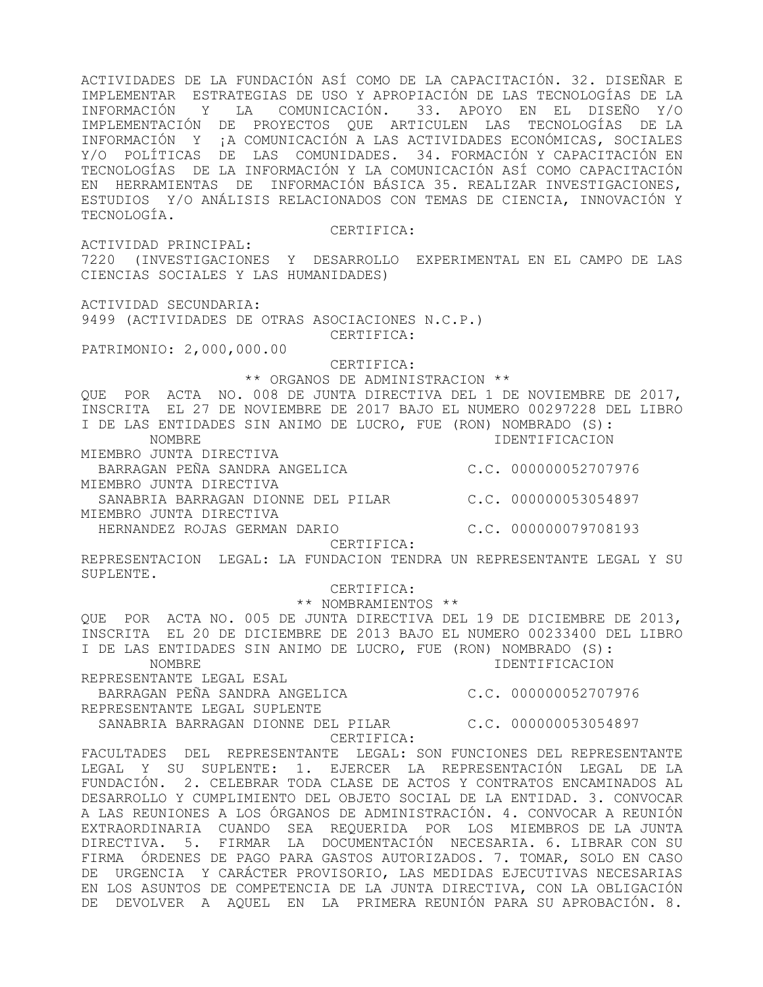ACTIVIDADES DE LA FUNDACIÓN ASÍ COMO DE LA CAPACITACIÓN. 32. DISEÑAR E IMPLEMENTAR ESTRATEGIAS DE USO Y APROPIACIÓN DE LAS TECNOLOGÍAS DE LA INFORMACIÓN Y LA COMUNICACIÓN. 33. APOYO EN EL DISEÑO Y/O IMPLEMENTACIÓN DE PROYECTOS QUE ARTICULEN LAS TECNOLOGÍAS DE LA INFORMACIÓN Y ¡A COMUNICACIÓN A LAS ACTIVIDADES ECONÓMICAS, SOCIALES Y/O POLÍTICAS DE LAS COMUNIDADES. 34. FORMACIÓN Y CAPACITACIÓN EN TECNOLOGÍAS DE LA INFORMACIÓN Y LA COMUNICACIÓN ASÍ COMO CAPACITACIÓN EN HERRAMIENTAS DE INFORMACIÓN BÁSICA 35. REALIZAR INVESTIGACIONES, ESTUDIOS Y/O ANÁLISIS RELACIONADOS CON TEMAS DE CIENCIA, INNOVACIÓN Y TECNOLOGÍA. CERTIFICA:

ACTIVIDAD PRINCIPAL: 7220 (INVESTIGACIONES Y DESARROLLO EXPERIMENTAL EN EL CAMPO DE LAS CIENCIAS SOCIALES Y LAS HUMANIDADES)

ACTIVIDAD SECUNDARIA:

9499 (ACTIVIDADES DE OTRAS ASOCIACIONES N.C.P.) CERTIFICA:

PATRIMONIO: 2,000,000.00

 CERTIFICA: \*\* ORGANOS DE ADMINISTRACION \*\*

QUE POR ACTA NO. 008 DE JUNTA DIRECTIVA DEL 1 DE NOVIEMBRE DE 2017, INSCRITA EL 27 DE NOVIEMBRE DE 2017 BAJO EL NUMERO 00297228 DEL LIBRO I DE LAS ENTIDADES SIN ANIMO DE LUCRO, FUE (RON) NOMBRADO (S): NOMBRE IDENTIFICACION MIEMBRO JUNTA DIRECTIVA BARRAGAN PEÑA SANDRA ANGELICA C.C. 000000052707976 MIEMBRO JUNTA DIRECTIVA SANABRIA BARRAGAN DIONNE DEL PILAR C.C. 000000053054897 MIEMBRO JUNTA DIRECTIVA HERNANDEZ ROJAS GERMAN DARIO C.C. 000000079708193 CERTIFICA: REPRESENTACION LEGAL: LA FUNDACION TENDRA UN REPRESENTANTE LEGAL Y SU SUPLENTE. CERTIFICA: \*\* NOMBRAMIENTOS \*\* QUE POR ACTA NO. 005 DE JUNTA DIRECTIVA DEL 19 DE DICIEMBRE DE 2013, INSCRITA EL 20 DE DICIEMBRE DE 2013 BAJO EL NUMERO 00233400 DEL LIBRO I DE LAS ENTIDADES SIN ANIMO DE LUCRO, FUE (RON) NOMBRADO (S):

 NOMBRE IDENTIFICACION REPRESENTANTE LEGAL ESAL

BARRAGAN PEÑA SANDRA ANGELICA C.C. 000000052707976

REPRESENTANTE LEGAL SUPLENTE

 SANABRIA BARRAGAN DIONNE DEL PILAR C.C. 000000053054897 CERTIFICA:

FACULTADES DEL REPRESENTANTE LEGAL: SON FUNCIONES DEL REPRESENTANTE LEGAL Y SU SUPLENTE: 1. EJERCER LA REPRESENTACIÓN LEGAL DE LA FUNDACIÓN. 2. CELEBRAR TODA CLASE DE ACTOS Y CONTRATOS ENCAMINADOS AL DESARROLLO Y CUMPLIMIENTO DEL OBJETO SOCIAL DE LA ENTIDAD. 3. CONVOCAR A LAS REUNIONES A LOS ÓRGANOS DE ADMINISTRACIÓN. 4. CONVOCAR A REUNIÓN EXTRAORDINARIA CUANDO SEA REQUERIDA POR LOS MIEMBROS DE LA JUNTA DIRECTIVA. 5. FIRMAR LA DOCUMENTACIÓN NECESARIA. 6. LIBRAR CON SU FIRMA ÓRDENES DE PAGO PARA GASTOS AUTORIZADOS. 7. TOMAR, SOLO EN CASO DE URGENCIA Y CARÁCTER PROVISORIO, LAS MEDIDAS EJECUTIVAS NECESARIAS EN LOS ASUNTOS DE COMPETENCIA DE LA JUNTA DIRECTIVA, CON LA OBLIGACIÓN DE DEVOLVER A AQUEL EN LA PRIMERA REUNIÓN PARA SU APROBACIÓN. 8.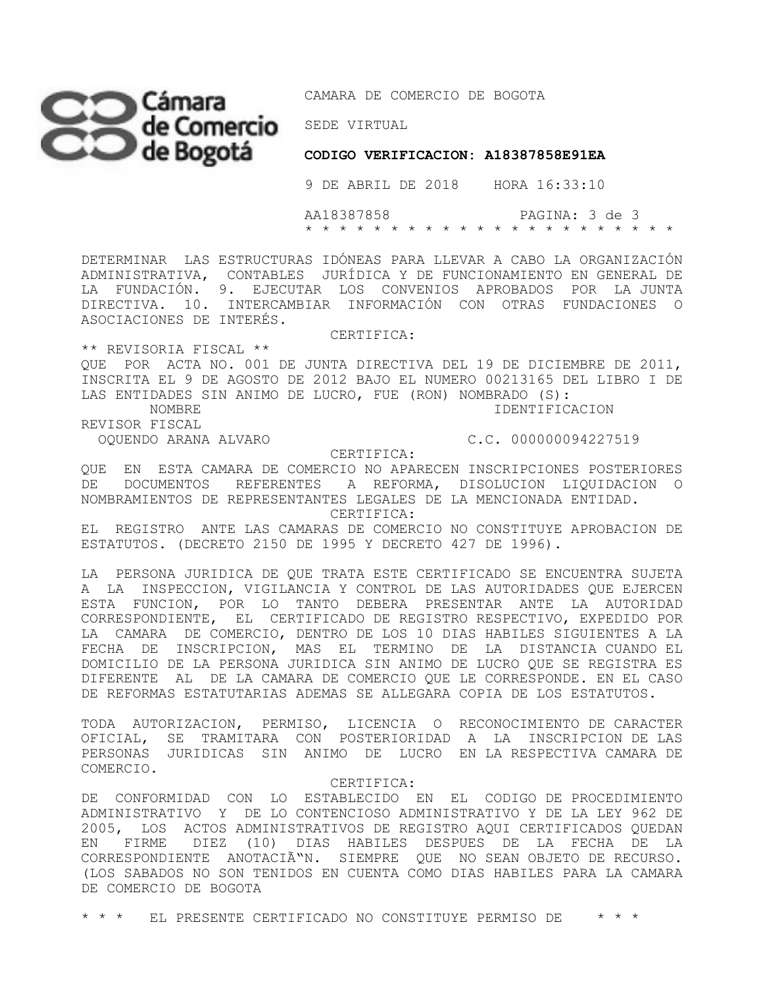## SEDE VIRTUAL

CAMARA DE COMERCIO DE BOGOTA

**CODIGO VERIFICACION: A18387858E91EA** 

9 DE ABRIL DE 2018 HORA 16:33:10

 AA18387858 PAGINA: 3 de 3 \* \* \* \* \* \* \* \* \* \* \* \* \* \* \* \* \* \* \* \* \* \*

DETERMINAR LAS ESTRUCTURAS IDÓNEAS PARA LLEVAR A CABO LA ORGANIZACIÓN ADMINISTRATIVA, CONTABLES JURÍDICA Y DE FUNCIONAMIENTO EN GENERAL DE LA FUNDACIÓN. 9. EJECUTAR LOS CONVENIOS APROBADOS POR LA JUNTA DIRECTIVA. 10. INTERCAMBIAR INFORMACIÓN CON OTRAS FUNDACIONES O ASOCIACIONES DE INTERÉS.

CERTIFICA:

\*\* REVISORIA FISCAL \*\*

QUE POR ACTA NO. 001 DE JUNTA DIRECTIVA DEL 19 DE DICIEMBRE DE 2011, INSCRITA EL 9 DE AGOSTO DE 2012 BAJO EL NUMERO 00213165 DEL LIBRO I DE LAS ENTIDADES SIN ANIMO DE LUCRO, FUE (RON) NOMBRADO (S): NOMBRE IDENTIFICACION

REVISOR FISCAL

OQUENDO ARANA ALVARO C.C. 000000094227519

CERTIFICA:

QUE EN ESTA CAMARA DE COMERCIO NO APARECEN INSCRIPCIONES POSTERIORES DE DOCUMENTOS REFERENTES A REFORMA, DISOLUCION LIQUIDACION O NOMBRAMIENTOS DE REPRESENTANTES LEGALES DE LA MENCIONADA ENTIDAD.

CERTIFICA:

EL REGISTRO ANTE LAS CAMARAS DE COMERCIO NO CONSTITUYE APROBACION DE ESTATUTOS. (DECRETO 2150 DE 1995 Y DECRETO 427 DE 1996).

LA PERSONA JURIDICA DE QUE TRATA ESTE CERTIFICADO SE ENCUENTRA SUJETA A LA INSPECCION, VIGILANCIA Y CONTROL DE LAS AUTORIDADES QUE EJERCEN ESTA FUNCION, POR LO TANTO DEBERA PRESENTAR ANTE LA AUTORIDAD CORRESPONDIENTE, EL CERTIFICADO DE REGISTRO RESPECTIVO, EXPEDIDO POR LA CAMARA DE COMERCIO, DENTRO DE LOS 10 DIAS HABILES SIGUIENTES A LA FECHA DE INSCRIPCION, MAS EL TERMINO DE LA DISTANCIA CUANDO EL DOMICILIO DE LA PERSONA JURIDICA SIN ANIMO DE LUCRO QUE SE REGISTRA ES DIFERENTE AL DE LA CAMARA DE COMERCIO QUE LE CORRESPONDE. EN EL CASO DE REFORMAS ESTATUTARIAS ADEMAS SE ALLEGARA COPIA DE LOS ESTATUTOS.

TODA AUTORIZACION, PERMISO, LICENCIA O RECONOCIMIENTO DE CARACTER OFICIAL, SE TRAMITARA CON POSTERIORIDAD A LA INSCRIPCION DE LAS PERSONAS JURIDICAS SIN ANIMO DE LUCRO EN LA RESPECTIVA CAMARA DE COMERCIO.

CERTIFICA:

DE CONFORMIDAD CON LO ESTABLECIDO EN EL CODIGO DE PROCEDIMIENTO ADMINISTRATIVO Y DE LO CONTENCIOSO ADMINISTRATIVO Y DE LA LEY 962 DE 2005, LOS ACTOS ADMINISTRATIVOS DE REGISTRO AQUI CERTIFICADOS QUEDAN EN FIRME DIEZ (10) DIAS HABILES DESPUES DE LA FECHA DE LA CORRESPONDIENTE ANOTACIÓN. SIEMPRE QUE NO SEAN OBJETO DE RECURSO. (LOS SABADOS NO SON TENIDOS EN CUENTA COMO DIAS HABILES PARA LA CAMARA DE COMERCIO DE BOGOTA

\* \* \* EL PRESENTE CERTIFICADO NO CONSTITUYE PERMISO DE \* \* \*